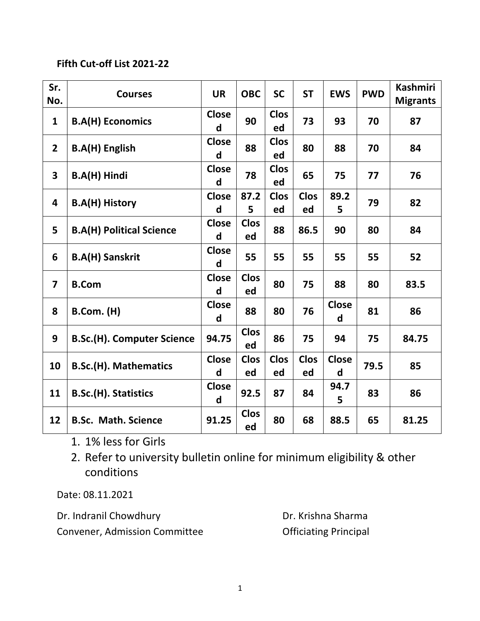## **Fifth Cut-off List 2021-22**

| Sr.<br>No.              | <b>Courses</b>                    | <b>UR</b>                    | <b>OBC</b>        | <b>SC</b>         | <b>ST</b>         | <b>EWS</b>        | <b>PWD</b> | <b>Kashmiri</b><br><b>Migrants</b> |
|-------------------------|-----------------------------------|------------------------------|-------------------|-------------------|-------------------|-------------------|------------|------------------------------------|
| $\mathbf{1}$            | <b>B.A(H) Economics</b>           | <b>Close</b><br>d            | 90                | <b>Clos</b><br>ed | 73                | 93                | 70         | 87                                 |
| $2^{\circ}$             | <b>B.A(H) English</b>             | <b>Close</b><br>d            | 88                | <b>Clos</b><br>ed | 80                | 88                | 70         | 84                                 |
| $\mathbf{3}$            | B.A(H) Hindi                      | <b>Close</b><br>d            | 78                | <b>Clos</b><br>ed | 65                | 75                | 77         | 76                                 |
| 4                       | <b>B.A(H) History</b>             | <b>Close</b><br>d            | 87.2<br>5         | <b>Clos</b><br>ed | <b>Clos</b><br>ed | 89.2<br>5         | 79         | 82                                 |
| 5                       | <b>B.A(H) Political Science</b>   | <b>Close</b><br>d            | <b>Clos</b><br>ed | 88                | 86.5              | 90                | 80         | 84                                 |
| 6                       | <b>B.A(H) Sanskrit</b>            | <b>Close</b><br>d            | 55                | 55                | 55                | 55                | 55         | 52                                 |
| $\overline{\mathbf{z}}$ | <b>B.Com</b>                      | <b>Close</b><br>d            | <b>Clos</b><br>ed | 80                | 75                | 88                | 80         | 83.5                               |
| 8                       | <b>B.Com. (H)</b>                 | <b>Close</b><br>d            | 88                | 80                | 76                | <b>Close</b><br>d | 81         | 86                                 |
| 9                       | <b>B.Sc.(H). Computer Science</b> | 94.75                        | <b>Clos</b><br>ed | 86                | 75                | 94                | 75         | 84.75                              |
| 10                      | <b>B.Sc.(H). Mathematics</b>      | <b>Close</b><br>$\mathsf{d}$ | <b>Clos</b><br>ed | <b>Clos</b><br>ed | <b>Clos</b><br>ed | <b>Close</b><br>d | 79.5       | 85                                 |
| 11                      | <b>B.Sc.(H). Statistics</b>       | <b>Close</b><br>d            | 92.5              | 87                | 84                | 94.7<br>5         | 83         | 86                                 |
| 12                      | <b>B.Sc. Math. Science</b>        | 91.25                        | <b>Clos</b><br>ed | 80                | 68                | 88.5              | 65         | 81.25                              |

- 1. 1% less for Girls
- 2. Refer to university bulletin online for minimum eligibility & other conditions

Date: 08.11.2021

| Dr. Indranil Chowdhury               |  |  |  |  |  |  |
|--------------------------------------|--|--|--|--|--|--|
| <b>Convener, Admission Committee</b> |  |  |  |  |  |  |

Dr. Krishna Sharma Officiating Principal